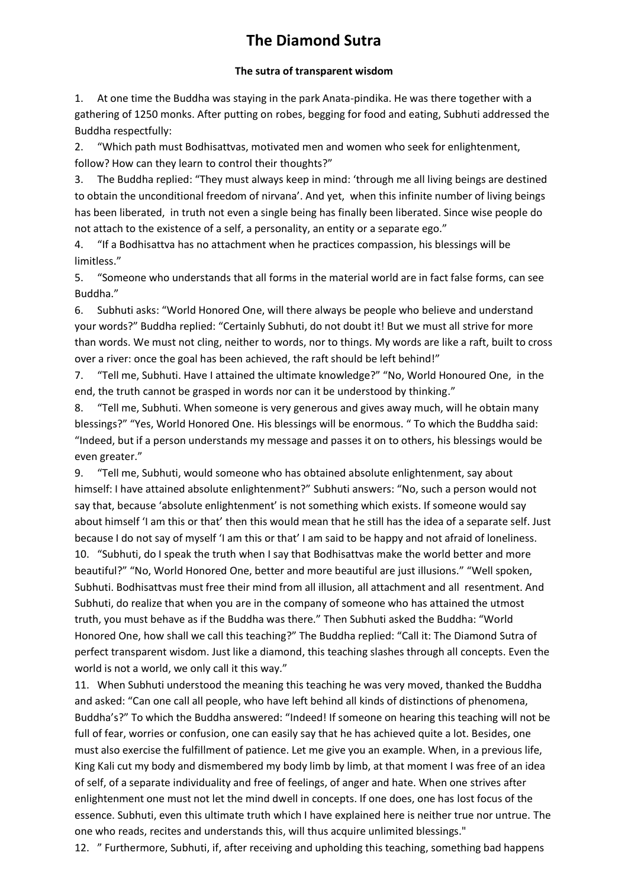## **The Diamond Sutra**

## **The sutra of transparent wisdom**

1. At one time the Buddha was staying in the park Anata-pindika. He was there together with a gathering of 1250 monks. After putting on robes, begging for food and eating, Subhuti addressed the Buddha respectfully:

2. "Which path must Bodhisattvas, motivated men and women who seek for enlightenment, follow? How can they learn to control their thoughts?"

3. The Buddha replied: "They must always keep in mind: 'through me all living beings are destined to obtain the unconditional freedom of nirvana'. And yet, when this infinite number of living beings has been liberated, in truth not even a single being has finally been liberated. Since wise people do not attach to the existence of a self, a personality, an entity or a separate ego."

4. "If a Bodhisattva has no attachment when he practices compassion, his blessings will be limitless."

5. "Someone who understands that all forms in the material world are in fact false forms, can see Buddha."

6. Subhuti asks: "World Honored One, will there always be people who believe and understand your words?" Buddha replied: "Certainly Subhuti, do not doubt it! But we must all strive for more than words. We must not cling, neither to words, nor to things. My words are like a raft, built to cross over a river: once the goal has been achieved, the raft should be left behind!"

7. "Tell me, Subhuti. Have I attained the ultimate knowledge?" "No, World Honoured One, in the end, the truth cannot be grasped in words nor can it be understood by thinking."

8. "Tell me, Subhuti. When someone is very generous and gives away much, will he obtain many blessings?" "Yes, World Honored One. His blessings will be enormous. " To which the Buddha said: "Indeed, but if a person understands my message and passes it on to others, his blessings would be even greater."

9. "Tell me, Subhuti, would someone who has obtained absolute enlightenment, say about himself: I have attained absolute enlightenment?" Subhuti answers: "No, such a person would not say that, because 'absolute enlightenment' is not something which exists. If someone would say about himself 'I am this or that' then this would mean that he still has the idea of a separate self. Just because I do not say of myself 'I am this or that' I am said to be happy and not afraid of loneliness. 10. "Subhuti, do I speak the truth when I say that Bodhisattvas make the world better and more beautiful?" "No, World Honored One, better and more beautiful are just illusions." "Well spoken, Subhuti. Bodhisattvas must free their mind from all illusion, all attachment and all resentment. And Subhuti, do realize that when you are in the company of someone who has attained the utmost truth, you must behave as if the Buddha was there." Then Subhuti asked the Buddha: "World Honored One, how shall we call this teaching?" The Buddha replied: "Call it: The Diamond Sutra of perfect transparent wisdom. Just like a diamond, this teaching slashes through all concepts. Even the world is not a world, we only call it this way."

11. When Subhuti understood the meaning this teaching he was very moved, thanked the Buddha and asked: "Can one call all people, who have left behind all kinds of distinctions of phenomena, Buddha's?" To which the Buddha answered: "Indeed! If someone on hearing this teaching will not be full of fear, worries or confusion, one can easily say that he has achieved quite a lot. Besides, one must also exercise the fulfillment of patience. Let me give you an example. When, in a previous life, King Kali cut my body and dismembered my body limb by limb, at that moment I was free of an idea of self, of a separate individuality and free of feelings, of anger and hate. When one strives after enlightenment one must not let the mind dwell in concepts. If one does, one has lost focus of the essence. Subhuti, even this ultimate truth which I have explained here is neither true nor untrue. The one who reads, recites and understands this, will thus acquire unlimited blessings."

12. " Furthermore, Subhuti, if, after receiving and upholding this teaching, something bad happens